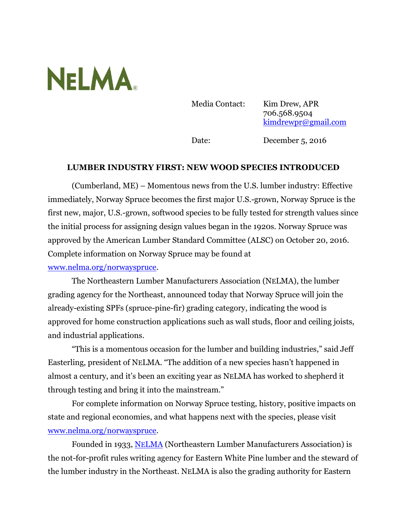## **NELMA**

Media Contact: Kim Drew, APR 706.568.9504 [kimdrewpr@gmail.com](mailto:kimdrewpr@gmail.com)

Date: December 5, 2016

## **LUMBER INDUSTRY FIRST: NEW WOOD SPECIES INTRODUCED**

(Cumberland, ME) – Momentous news from the U.S. lumber industry: Effective immediately, Norway Spruce becomes the first major U.S.-grown, Norway Spruce is the first new, major, U.S.-grown, softwood species to be fully tested for strength values since the initial process for assigning design values began in the 1920s. Norway Spruce was approved by the American Lumber Standard Committee (ALSC) on October 20, 2016. Complete information on Norway Spruce may be found at [www.nelma.org/norwayspruce.](http://www.nelma.org/norwayspruce)

The Northeastern Lumber Manufacturers Association (NELMA), the lumber grading agency for the Northeast, announced today that Norway Spruce will join the already-existing SPFs (spruce-pine-fir) grading category, indicating the wood is approved for home construction applications such as wall studs, floor and ceiling joists, and industrial applications.

"This is a momentous occasion for the lumber and building industries," said Jeff Easterling, president of NELMA. "The addition of a new species hasn't happened in almost a century, and it's been an exciting year as NELMA has worked to shepherd it through testing and bring it into the mainstream."

For complete information on Norway Spruce testing, history, positive impacts on state and regional economies, and what happens next with the species, please visit [www.nelma.org/norwayspruce.](http://www.nelma.org/norwayspruce)

Founded in 1933, NE[LMA](http://www.nelma.org/) (Northeastern Lumber Manufacturers Association) is the not-for-profit rules writing agency for Eastern White Pine lumber and the steward of the lumber industry in the Northeast. NELMA is also the grading authority for Eastern